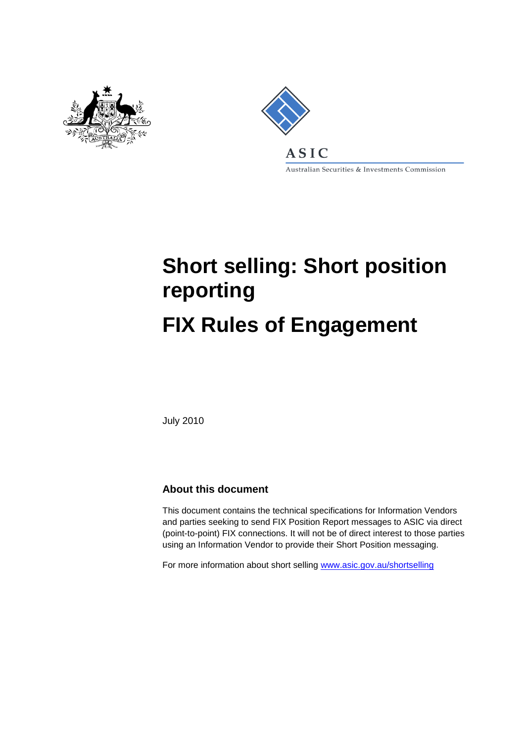



Australian Securities & Investments Commission

# **Short selling: Short position reporting FIX Rules of Engagement**

July 2010

#### **About this document**

This document contains the technical specifications for Information Vendors and parties seeking to send FIX Position Report messages to ASIC via direct (point-to-point) FIX connections. It will not be of direct interest to those parties using an Information Vendor to provide their Short Position messaging.

For more information about short selling [www.asic.gov.au/shortselling](http://www.asic.gov.au/shortselling)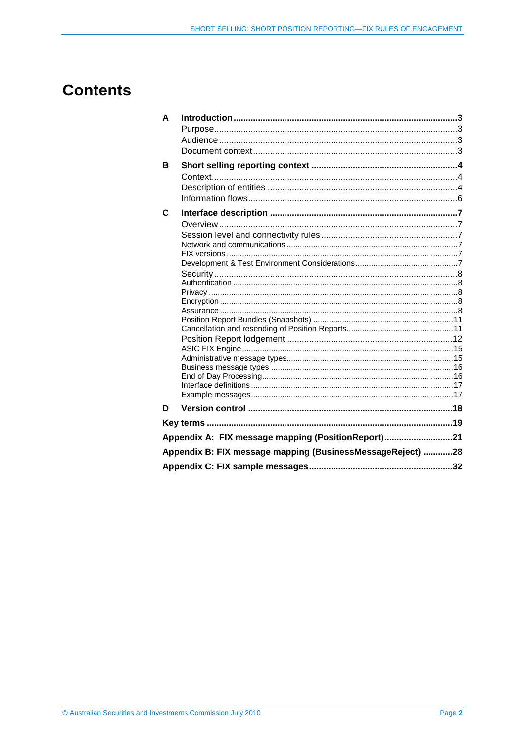## **Contents**

| A |                                                            |  |  |  |  |
|---|------------------------------------------------------------|--|--|--|--|
|   |                                                            |  |  |  |  |
|   |                                                            |  |  |  |  |
|   |                                                            |  |  |  |  |
| В |                                                            |  |  |  |  |
|   |                                                            |  |  |  |  |
|   |                                                            |  |  |  |  |
|   |                                                            |  |  |  |  |
|   |                                                            |  |  |  |  |
| C |                                                            |  |  |  |  |
|   |                                                            |  |  |  |  |
|   |                                                            |  |  |  |  |
|   |                                                            |  |  |  |  |
|   |                                                            |  |  |  |  |
|   |                                                            |  |  |  |  |
|   |                                                            |  |  |  |  |
|   |                                                            |  |  |  |  |
|   |                                                            |  |  |  |  |
|   |                                                            |  |  |  |  |
|   |                                                            |  |  |  |  |
|   |                                                            |  |  |  |  |
|   |                                                            |  |  |  |  |
|   |                                                            |  |  |  |  |
|   |                                                            |  |  |  |  |
|   |                                                            |  |  |  |  |
|   |                                                            |  |  |  |  |
|   |                                                            |  |  |  |  |
| D |                                                            |  |  |  |  |
|   |                                                            |  |  |  |  |
|   | Appendix A: FIX message mapping (PositionReport)21         |  |  |  |  |
|   | Appendix B: FIX message mapping (BusinessMessageReject) 28 |  |  |  |  |
|   |                                                            |  |  |  |  |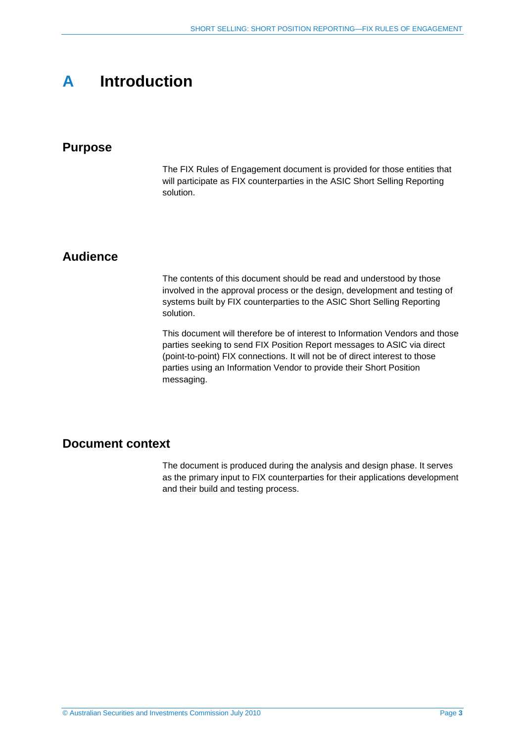## <span id="page-2-0"></span>**A Introduction**

#### <span id="page-2-1"></span>**Purpose**

The FIX Rules of Engagement document is provided for those entities that will participate as FIX counterparties in the ASIC Short Selling Reporting solution.

#### <span id="page-2-2"></span>**Audience**

The contents of this document should be read and understood by those involved in the approval process or the design, development and testing of systems built by FIX counterparties to the ASIC Short Selling Reporting solution.

This document will therefore be of interest to Information Vendors and those parties seeking to send FIX Position Report messages to ASIC via direct (point-to-point) FIX connections. It will not be of direct interest to those parties using an Information Vendor to provide their Short Position messaging.

#### <span id="page-2-3"></span>**Document context**

The document is produced during the analysis and design phase. It serves as the primary input to FIX counterparties for their applications development and their build and testing process.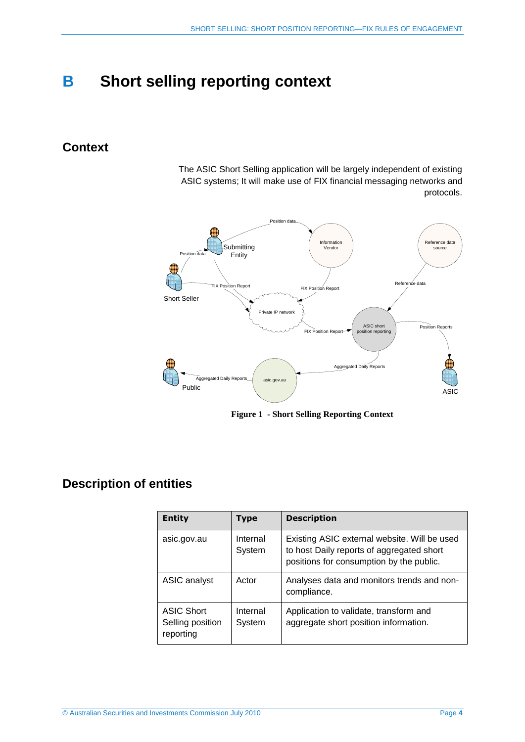## <span id="page-3-0"></span>**B Short selling reporting context**

### <span id="page-3-1"></span>**Context**

The ASIC Short Selling application will be largely independent of existing ASIC systems; It will make use of FIX financial messaging networks and protocols.



**Figure 1 - Short Selling Reporting Context**

## <span id="page-3-2"></span>**Description of entities**

| <b>Entity</b>                                      | Type               | <b>Description</b>                                                                                                                    |  |
|----------------------------------------------------|--------------------|---------------------------------------------------------------------------------------------------------------------------------------|--|
| asic.gov.au                                        | Internal<br>System | Existing ASIC external website. Will be used<br>to host Daily reports of aggregated short<br>positions for consumption by the public. |  |
| <b>ASIC analyst</b>                                | Actor              | Analyses data and monitors trends and non-<br>compliance.                                                                             |  |
| <b>ASIC Short</b><br>Selling position<br>reporting | Internal<br>System | Application to validate, transform and<br>aggregate short position information.                                                       |  |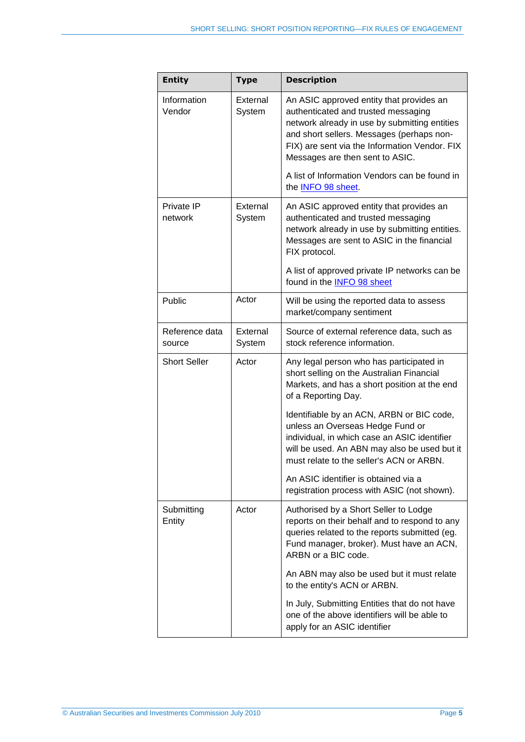| <b>Entity</b>                 | <b>Type</b>        | <b>Description</b>                                                                                                                                                                                                                                                |  |  |
|-------------------------------|--------------------|-------------------------------------------------------------------------------------------------------------------------------------------------------------------------------------------------------------------------------------------------------------------|--|--|
| Information<br>Vendor         | External<br>System | An ASIC approved entity that provides an<br>authenticated and trusted messaging<br>network already in use by submitting entities<br>and short sellers. Messages (perhaps non-<br>FIX) are sent via the Information Vendor. FIX<br>Messages are then sent to ASIC. |  |  |
|                               |                    | A list of Information Vendors can be found in<br>the INFO 98 sheet.                                                                                                                                                                                               |  |  |
| Private IP<br>network         | External<br>System | An ASIC approved entity that provides an<br>authenticated and trusted messaging<br>network already in use by submitting entities.<br>Messages are sent to ASIC in the financial<br>FIX protocol.                                                                  |  |  |
|                               |                    | A list of approved private IP networks can be<br>found in the INFO 98 sheet                                                                                                                                                                                       |  |  |
| Public                        | Actor              | Will be using the reported data to assess<br>market/company sentiment                                                                                                                                                                                             |  |  |
| Reference data<br>source      | External<br>System | Source of external reference data, such as<br>stock reference information.                                                                                                                                                                                        |  |  |
| <b>Short Seller</b>           | Actor              | Any legal person who has participated in<br>short selling on the Australian Financial<br>Markets, and has a short position at the end<br>of a Reporting Day.                                                                                                      |  |  |
|                               |                    | Identifiable by an ACN, ARBN or BIC code,<br>unless an Overseas Hedge Fund or<br>individual, in which case an ASIC identifier<br>will be used. An ABN may also be used but it<br>must relate to the seller's ACN or ARBN.                                         |  |  |
|                               |                    | An ASIC identifier is obtained via a<br>registration process with ASIC (not shown).                                                                                                                                                                               |  |  |
| Submitting<br>Actor<br>Entity |                    | Authorised by a Short Seller to Lodge<br>reports on their behalf and to respond to any<br>queries related to the reports submitted (eg.<br>Fund manager, broker). Must have an ACN,<br>ARBN or a BIC code.                                                        |  |  |
|                               |                    | An ABN may also be used but it must relate<br>to the entity's ACN or ARBN.                                                                                                                                                                                        |  |  |
|                               |                    | In July, Submitting Entities that do not have<br>one of the above identifiers will be able to<br>apply for an ASIC identifier                                                                                                                                     |  |  |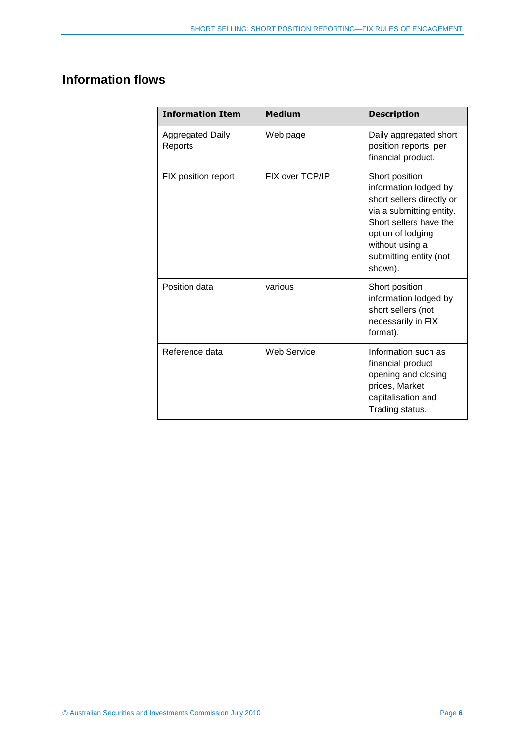## <span id="page-5-0"></span>**Information flows**

| <b>Information Item</b>            | <b>Medium</b>      | <b>Description</b>                                                                                                                                                                                      |
|------------------------------------|--------------------|---------------------------------------------------------------------------------------------------------------------------------------------------------------------------------------------------------|
| <b>Aggregated Daily</b><br>Reports | Web page           | Daily aggregated short<br>position reports, per<br>financial product.                                                                                                                                   |
| FIX position report                | FIX over TCP/IP    | Short position<br>information lodged by<br>short sellers directly or<br>via a submitting entity.<br>Short sellers have the<br>option of lodging<br>without using a<br>submitting entity (not<br>shown). |
| Position data                      | various            | Short position<br>information lodged by<br>short sellers (not<br>necessarily in FIX<br>format).                                                                                                         |
| Reference data                     | <b>Web Service</b> | Information such as<br>financial product<br>opening and closing<br>prices, Market<br>capitalisation and<br>Trading status.                                                                              |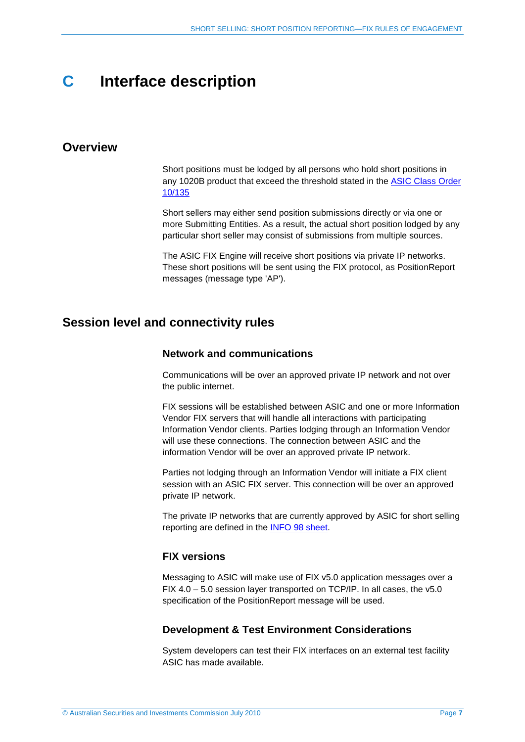## <span id="page-6-0"></span>**C Interface description**

#### <span id="page-6-1"></span>**Overview**

Short positions must be lodged by all persons who hold short positions in any 1020B product that exceed the threshold stated in the [ASIC Class Order](http://asic.gov.au/asic/ASIC.NSF/byHeadline/Short%20selling) [10/135](http://asic.gov.au/asic/ASIC.NSF/byHeadline/Short%20selling)

Short sellers may either send position submissions directly or via one or more Submitting Entities. As a result, the actual short position lodged by any particular short seller may consist of submissions from multiple sources.

The ASIC FIX Engine will receive short positions via private IP networks. These short positions will be sent using the FIX protocol, as PositionReport messages (message type 'AP').

#### <span id="page-6-3"></span><span id="page-6-2"></span>**Session level and connectivity rules**

#### **Network and communications**

Communications will be over an approved private IP network and not over the public internet.

FIX sessions will be established between ASIC and one or more Information Vendor FIX servers that will handle all interactions with participating Information Vendor clients. Parties lodging through an Information Vendor will use these connections. The connection between ASIC and the information Vendor will be over an approved private IP network.

Parties not lodging through an Information Vendor will initiate a FIX client session with an ASIC FIX server. This connection will be over an approved private IP network.

The private IP networks that are currently approved by ASIC for short selling reporting are defined in the [INFO 98 sheet.](http://asic.gov.au/asic/asic.nsf/byheadline/Short-selling-reporting)

#### <span id="page-6-4"></span>**FIX versions**

Messaging to ASIC will make use of FIX v5.0 application messages over a FIX 4.0 – 5.0 session layer transported on TCP/IP. In all cases, the v5.0 specification of the PositionReport message will be used.

#### <span id="page-6-5"></span>**Development & Test Environment Considerations**

System developers can test their FIX interfaces on an external test facility ASIC has made available.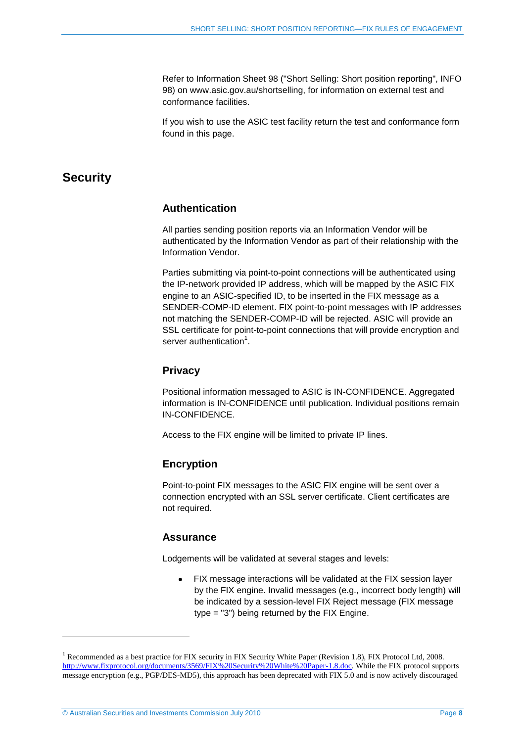Refer to Information Sheet 98 ("Short Selling: Short position reporting", INFO 98) on www.asic.gov.au/shortselling, for information on external test and conformance facilities.

If you wish to use the ASIC test facility return the test and conformance form found in this page.

### <span id="page-7-1"></span><span id="page-7-0"></span>**Security**

#### **Authentication**

All parties sending position reports via an Information Vendor will be authenticated by the Information Vendor as part of their relationship with the Information Vendor.

Parties submitting via point-to-point connections will be authenticated using the IP-network provided IP address, which will be mapped by the ASIC FIX engine to an ASIC-specified ID, to be inserted in the FIX message as a SENDER-COMP-ID element. FIX point-to-point messages with IP addresses not matching the SENDER-COMP-ID will be rejected. ASIC will provide an SSL certificate for point-to-point connections that will provide encryption and server authentication<sup>1</sup>.

#### <span id="page-7-2"></span>**Privacy**

Positional information messaged to ASIC is IN-CONFIDENCE. Aggregated information is IN-CONFIDENCE until publication. Individual positions remain IN-CONFIDENCE.

<span id="page-7-3"></span>Access to the FIX engine will be limited to private IP lines.

#### **Encryption**

Point-to-point FIX messages to the ASIC FIX engine will be sent over a connection encrypted with an SSL server certificate. Client certificates are not required.

#### <span id="page-7-4"></span>**Assurance**

Lodgements will be validated at several stages and levels:

FIX message interactions will be validated at the FIX session layer  $\bullet$ by the FIX engine. Invalid messages (e.g., incorrect body length) will be indicated by a session-level FIX Reject message (FIX message type = "3") being returned by the FIX Engine.

l

<sup>&</sup>lt;sup>1</sup> Recommended as a best practice for FIX security in FIX Security White Paper (Revision 1.8), FIX Protocol Ltd, 2008. [http://www.fixprotocol.org/documents/3569/FIX%20Security%20White%20Paper-1.8.doc.](http://www.fixprotocol.org/documents/3569/FIX%20Security%20White%20Paper-1.8.doc) While the FIX protocol supports message encryption (e.g., PGP/DES-MD5), this approach has been deprecated with FIX 5.0 and is now actively discouraged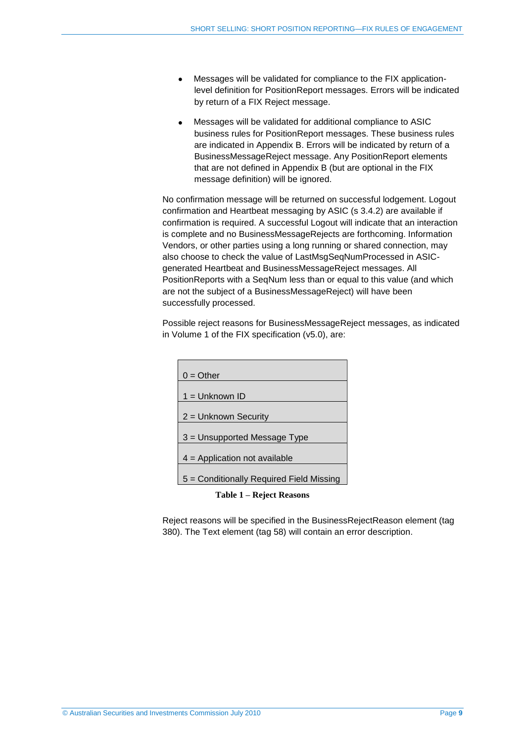- Messages will be validated for compliance to the FIX application- $\bullet$ level definition for PositionReport messages. Errors will be indicated by return of a FIX Reject message.
- Messages will be validated for additional compliance to ASIC  $\bullet$ business rules for PositionReport messages. These business rules are indicated in Appendix B. Errors will be indicated by return of a BusinessMessageReject message. Any PositionReport elements that are not defined in Appendix B (but are optional in the FIX message definition) will be ignored.

No confirmation message will be returned on successful lodgement. Logout confirmation and Heartbeat messaging by ASIC (s 3.4.2) are available if confirmation is required. A successful Logout will indicate that an interaction is complete and no BusinessMessageRejects are forthcoming. Information Vendors, or other parties using a long running or shared connection, may also choose to check the value of LastMsgSeqNumProcessed in ASICgenerated Heartbeat and BusinessMessageReject messages. All PositionReports with a SeqNum less than or equal to this value (and which are not the subject of a BusinessMessageReject) will have been successfully processed.

Possible reject reasons for BusinessMessageReject messages, as indicated in Volume 1 of the FIX specification (v5.0), are:

| $0 =$ Other                              |
|------------------------------------------|
| $1 =$ Unknown ID                         |
| $2 =$ Unknown Security                   |
| 3 = Unsupported Message Type             |
| $4$ = Application not available          |
| 5 = Conditionally Required Field Missing |

**Table 1 – Reject Reasons**

Reject reasons will be specified in the BusinessRejectReason element (tag 380). The Text element (tag 58) will contain an error description.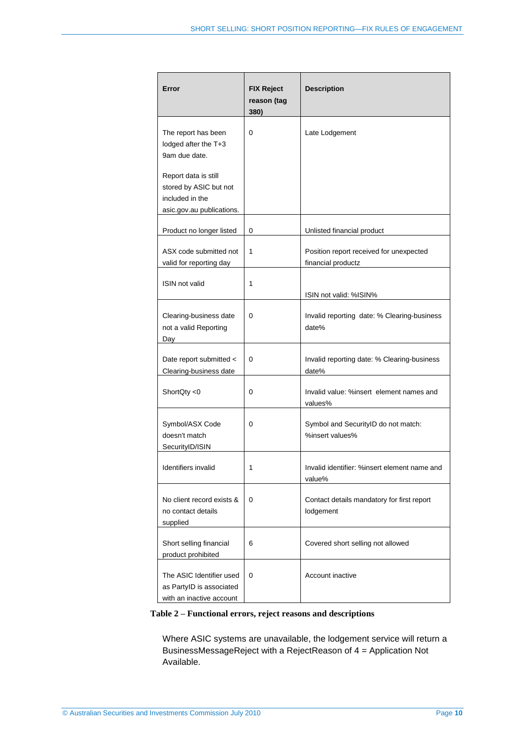| Error                                                                                          | <b>FIX Reject</b><br>reason (tag | <b>Description</b>                                            |
|------------------------------------------------------------------------------------------------|----------------------------------|---------------------------------------------------------------|
| The report has been<br>lodged after the T+3<br>9am due date.                                   | 380)<br>0                        | Late Lodgement                                                |
| Report data is still<br>stored by ASIC but not<br>included in the<br>asic.gov.au publications. |                                  |                                                               |
| Product no longer listed                                                                       | 0                                | Unlisted financial product                                    |
| ASX code submitted not<br>valid for reporting day                                              | 1                                | Position report received for unexpected<br>financial productz |
| ISIN not valid                                                                                 | 1                                | ISIN not valid: %ISIN%                                        |
| Clearing-business date<br>not a valid Reporting<br>Day                                         | 0                                | Invalid reporting date: % Clearing-business<br>date%          |
| Date report submitted <<br>Clearing-business date                                              | 0                                | Invalid reporting date: % Clearing-business<br>date%          |
| ShortQty <0                                                                                    | 0                                | Invalid value: %insert element names and<br>values%           |
| Symbol/ASX Code<br>doesn't match<br>SecurityID/ISIN                                            | 0                                | Symbol and SecurityID do not match:<br>%insert values%        |
| Identifiers invalid                                                                            | 1                                | Invalid identifier: %insert element name and<br>value%        |
| No client record exists &<br>no contact details<br>supplied                                    | 0                                | Contact details mandatory for first report<br>lodgement       |
| Short selling financial<br>product prohibited                                                  | 6                                | Covered short selling not allowed                             |
| The ASIC Identifier used<br>as PartyID is associated<br>with an inactive account               | 0                                | Account inactive                                              |

#### <span id="page-9-0"></span>**Table 2 – Functional errors, reject reasons and descriptions**

Where ASIC systems are unavailable, the lodgement service will return a BusinessMessageReject with a RejectReason of 4 = Application Not Available.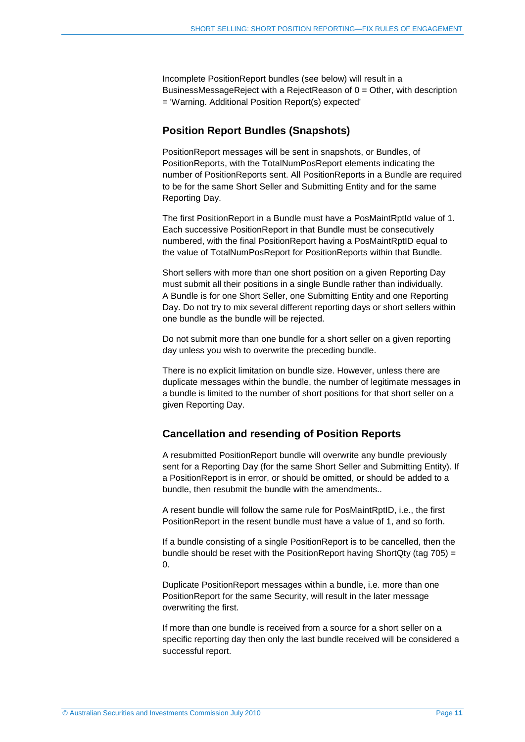Incomplete PositionReport bundles (see below) will result in a BusinessMessageReject with a RejectReason of 0 = Other, with description = 'Warning. Additional Position Report(s) expected'

#### <span id="page-10-0"></span>**Position Report Bundles (Snapshots)**

PositionReport messages will be sent in snapshots, or Bundles, of PositionReports, with the TotalNumPosReport elements indicating the number of PositionReports sent. All PositionReports in a Bundle are required to be for the same Short Seller and Submitting Entity and for the same Reporting Day.

The first PositionReport in a Bundle must have a PosMaintRptId value of 1. Each successive PositionReport in that Bundle must be consecutively numbered, with the final PositionReport having a PosMaintRptID equal to the value of TotalNumPosReport for PositionReports within that Bundle.

Short sellers with more than one short position on a given Reporting Day must submit all their positions in a single Bundle rather than individually. A Bundle is for one Short Seller, one Submitting Entity and one Reporting Day. Do not try to mix several different reporting days or short sellers within one bundle as the bundle will be rejected.

Do not submit more than one bundle for a short seller on a given reporting day unless you wish to overwrite the preceding bundle.

There is no explicit limitation on bundle size. However, unless there are duplicate messages within the bundle, the number of legitimate messages in a bundle is limited to the number of short positions for that short seller on a given Reporting Day.

#### <span id="page-10-1"></span>**Cancellation and resending of Position Reports**

A resubmitted PositionReport bundle will overwrite any bundle previously sent for a Reporting Day (for the same Short Seller and Submitting Entity). If a PositionReport is in error, or should be omitted, or should be added to a bundle, then resubmit the bundle with the amendments..

A resent bundle will follow the same rule for PosMaintRptID, i.e., the first PositionReport in the resent bundle must have a value of 1, and so forth.

If a bundle consisting of a single PositionReport is to be cancelled, then the bundle should be reset with the PositionReport having ShortQty (tag 705) =  $\Omega$ 

Duplicate PositionReport messages within a bundle, i.e. more than one PositionReport for the same Security, will result in the later message overwriting the first.

If more than one bundle is received from a source for a short seller on a specific reporting day then only the last bundle received will be considered a successful report.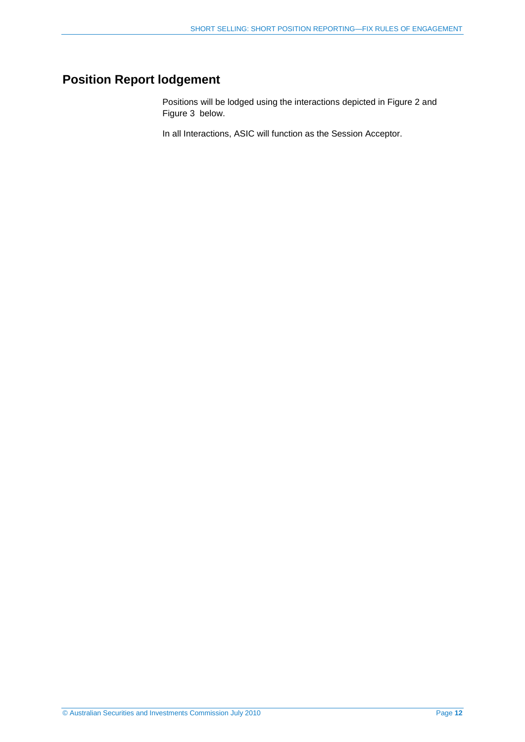## <span id="page-11-0"></span>**Position Report lodgement**

Positions will be lodged using the interactions depicted in [Figure 2](#page-12-0) and [Figure 3](#page-13-0) [below.](#page-12-0)

In all Interactions, ASIC will function as the Session Acceptor.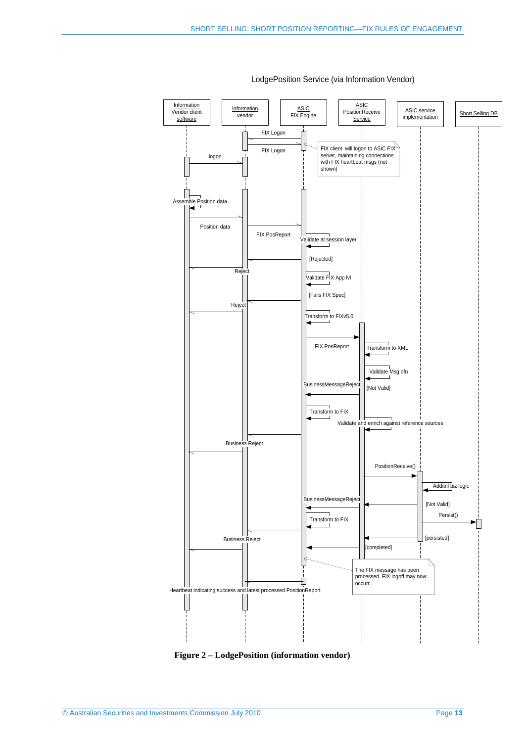

<span id="page-12-0"></span>**Figure 2 – LodgePosition (information vendor)**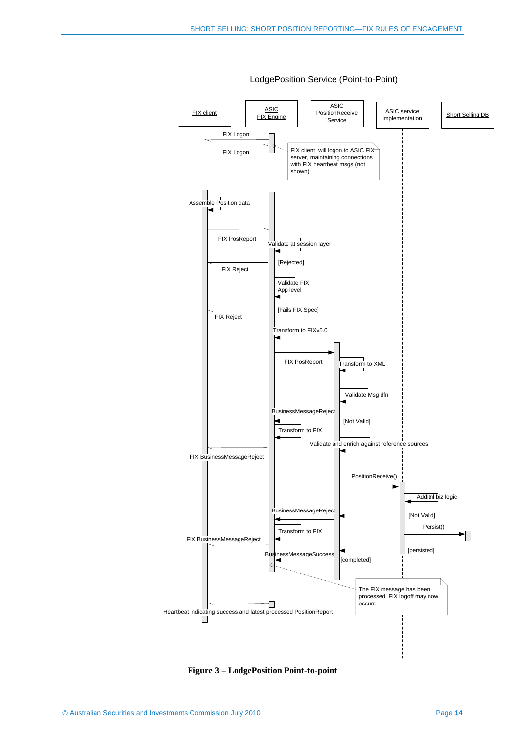

<span id="page-13-0"></span>**Figure 3 – LodgePosition Point-to-point**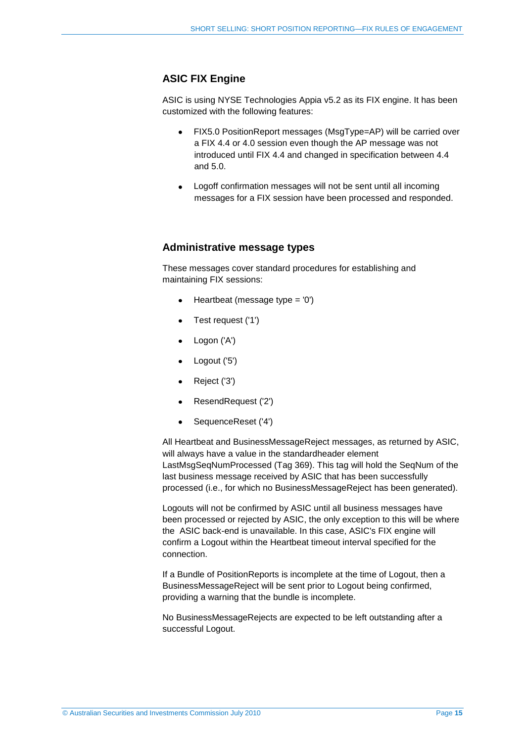#### <span id="page-14-0"></span>**ASIC FIX Engine**

ASIC is using NYSE Technologies Appia v5.2 as its FIX engine. It has been customized with the following features:

- FIX5.0 PositionReport messages (MsgType=AP) will be carried over  $\bullet$ a FIX 4.4 or 4.0 session even though the AP message was not introduced until FIX 4.4 and changed in specification between 4.4 and 5.0.
- Logoff confirmation messages will not be sent until all incoming  $\bullet$ messages for a FIX session have been processed and responded.

#### <span id="page-14-1"></span>**Administrative message types**

These messages cover standard procedures for establishing and maintaining FIX sessions:

- Heartbeat (message type = '0')
- Test request ('1')  $\bullet$
- Logon ('A')  $\bullet$
- Logout ('5')  $\bullet$
- Reject ('3')  $\bullet$
- ResendRequest ('2')  $\bullet$
- SequenceReset ('4')  $\bullet$

All Heartbeat and BusinessMessageReject messages, as returned by ASIC, will always have a value in the standardheader element LastMsgSeqNumProcessed (Tag 369). This tag will hold the SeqNum of the last business message received by ASIC that has been successfully processed (i.e., for which no BusinessMessageReject has been generated).

Logouts will not be confirmed by ASIC until all business messages have been processed or rejected by ASIC, the only exception to this will be where the ASIC back-end is unavailable. In this case, ASIC's FIX engine will confirm a Logout within the Heartbeat timeout interval specified for the connection.

If a Bundle of PositionReports is incomplete at the time of Logout, then a BusinessMessageReject will be sent prior to Logout being confirmed, providing a warning that the bundle is incomplete.

No BusinessMessageRejects are expected to be left outstanding after a successful Logout.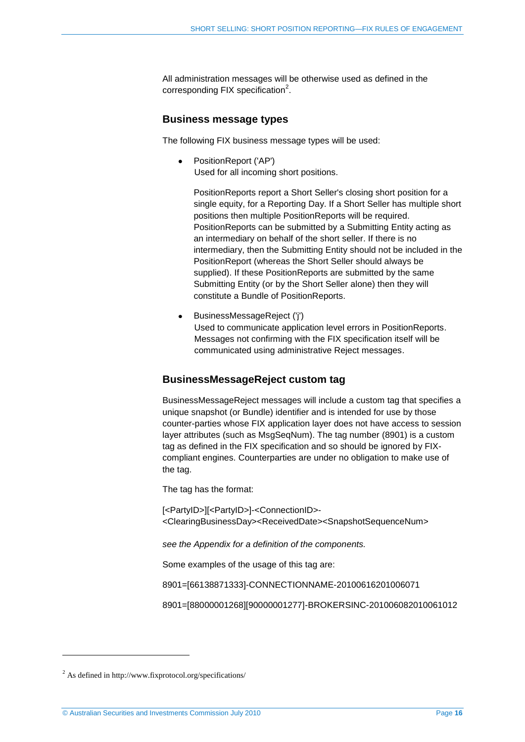All administration messages will be otherwise used as defined in the corresponding FIX specification $2$ .

#### <span id="page-15-0"></span>**Business message types**

The following FIX business message types will be used:

 $\bullet$ PositionReport ('AP') Used for all incoming short positions.

PositionReports report a Short Seller's closing short position for a single equity, for a Reporting Day. If a Short Seller has multiple short positions then multiple PositionReports will be required. PositionReports can be submitted by a Submitting Entity acting as an intermediary on behalf of the short seller. If there is no intermediary, then the Submitting Entity should not be included in the PositionReport (whereas the Short Seller should always be supplied). If these PositionReports are submitted by the same Submitting Entity (or by the Short Seller alone) then they will constitute a Bundle of PositionReports.

BusinessMessageReject ('j')  $\bullet$ Used to communicate application level errors in PositionReports. Messages not confirming with the FIX specification itself will be communicated using administrative Reject messages.

#### <span id="page-15-1"></span>**BusinessMessageReject custom tag**

BusinessMessageReject messages will include a custom tag that specifies a unique snapshot (or Bundle) identifier and is intended for use by those counter-parties whose FIX application layer does not have access to session layer attributes (such as MsgSeqNum). The tag number (8901) is a custom tag as defined in the FIX specification and so should be ignored by FIXcompliant engines. Counterparties are under no obligation to make use of the tag.

The tag has the format:

[<PartyID>][<PartyID>]-<ConnectionID>- <ClearingBusinessDay><ReceivedDate><SnapshotSequenceNum>

*see the Appendix for a definition of the components.*

Some examples of the usage of this tag are:

8901=[66138871333]-CONNECTIONNAME-20100616201006071

8901=[88000001268][90000001277]-BROKERSINC-201006082010061012

l

<sup>2</sup> As defined in http://www.fixprotocol.org/specifications/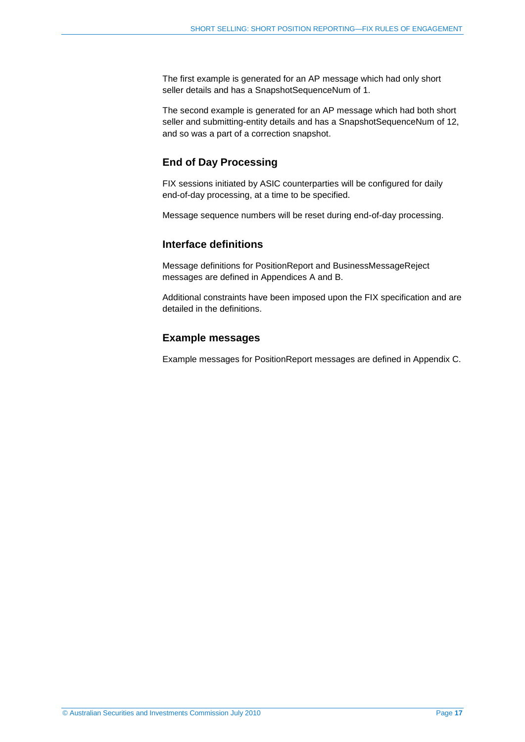The first example is generated for an AP message which had only short seller details and has a SnapshotSequenceNum of 1.

The second example is generated for an AP message which had both short seller and submitting-entity details and has a SnapshotSequenceNum of 12, and so was a part of a correction snapshot.

#### **End of Day Processing**

FIX sessions initiated by ASIC counterparties will be configured for daily end-of-day processing, at a time to be specified.

<span id="page-16-0"></span>Message sequence numbers will be reset during end-of-day processing.

#### **Interface definitions**

Message definitions for PositionReport and BusinessMessageReject messages are defined in Appendices A and B.

Additional constraints have been imposed upon the FIX specification and are detailed in the definitions.

#### <span id="page-16-1"></span>**Example messages**

Example messages for PositionReport messages are defined in Appendix C.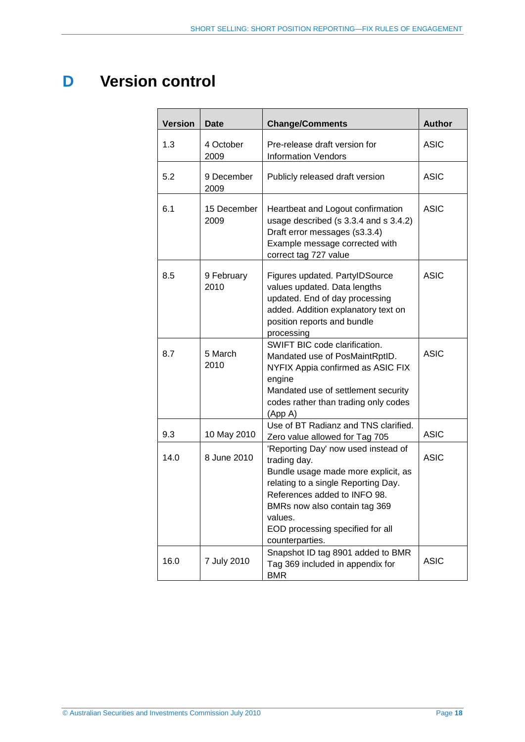## <span id="page-17-0"></span>**D Version control**

| <b>Version</b> | <b>Date</b>         | <b>Change/Comments</b>                                                                                                                                                                                                                                               | <b>Author</b> |
|----------------|---------------------|----------------------------------------------------------------------------------------------------------------------------------------------------------------------------------------------------------------------------------------------------------------------|---------------|
| 1.3            | 4 October<br>2009   | Pre-release draft version for<br><b>Information Vendors</b>                                                                                                                                                                                                          | <b>ASIC</b>   |
| 5.2            | 9 December<br>2009  | Publicly released draft version                                                                                                                                                                                                                                      | ASIC          |
| 6.1            | 15 December<br>2009 | Heartbeat and Logout confirmation<br>usage described (s 3.3.4 and s 3.4.2)<br>Draft error messages (s3.3.4)<br>Example message corrected with<br>correct tag 727 value                                                                                               | <b>ASIC</b>   |
| 8.5            | 9 February<br>2010  | Figures updated. PartyIDSource<br>values updated. Data lengths<br>updated. End of day processing<br>added. Addition explanatory text on<br>position reports and bundle<br>processing                                                                                 | <b>ASIC</b>   |
| 8.7            | 5 March<br>2010     | SWIFT BIC code clarification.<br>Mandated use of PosMaintRptID.<br>NYFIX Appia confirmed as ASIC FIX<br>engine<br>Mandated use of settlement security<br>codes rather than trading only codes<br>(App A)                                                             | <b>ASIC</b>   |
| 9.3            | 10 May 2010         | Use of BT Radianz and TNS clarified.<br>Zero value allowed for Tag 705                                                                                                                                                                                               | <b>ASIC</b>   |
| 14.0           | 8 June 2010         | 'Reporting Day' now used instead of<br>trading day.<br>Bundle usage made more explicit, as<br>relating to a single Reporting Day.<br>References added to INFO 98.<br>BMRs now also contain tag 369<br>values.<br>EOD processing specified for all<br>counterparties. | <b>ASIC</b>   |
| 16.0           | 7 July 2010         | Snapshot ID tag 8901 added to BMR<br>Tag 369 included in appendix for<br><b>BMR</b>                                                                                                                                                                                  | <b>ASIC</b>   |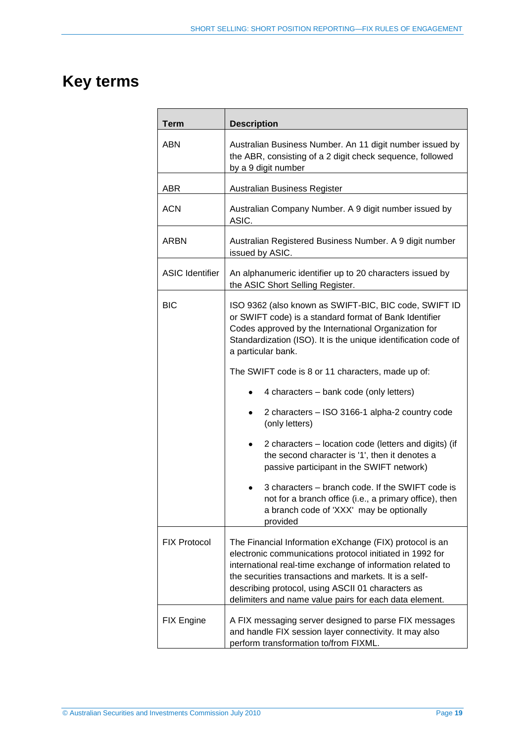## <span id="page-18-0"></span>**Key terms**

| <b>Term</b>                                                                                                                                                        | <b>Description</b>                                                                                                                                                                                                                                                                                                                                         |  |  |  |  |  |
|--------------------------------------------------------------------------------------------------------------------------------------------------------------------|------------------------------------------------------------------------------------------------------------------------------------------------------------------------------------------------------------------------------------------------------------------------------------------------------------------------------------------------------------|--|--|--|--|--|
| <b>ABN</b>                                                                                                                                                         | Australian Business Number. An 11 digit number issued by<br>the ABR, consisting of a 2 digit check sequence, followed<br>by a 9 digit number                                                                                                                                                                                                               |  |  |  |  |  |
| <b>ABR</b>                                                                                                                                                         | Australian Business Register                                                                                                                                                                                                                                                                                                                               |  |  |  |  |  |
| <b>ACN</b>                                                                                                                                                         | Australian Company Number. A 9 digit number issued by<br>ASIC.                                                                                                                                                                                                                                                                                             |  |  |  |  |  |
| <b>ARBN</b>                                                                                                                                                        | Australian Registered Business Number. A 9 digit number<br>issued by ASIC.                                                                                                                                                                                                                                                                                 |  |  |  |  |  |
| <b>ASIC Identifier</b>                                                                                                                                             | An alphanumeric identifier up to 20 characters issued by<br>the ASIC Short Selling Register.                                                                                                                                                                                                                                                               |  |  |  |  |  |
| <b>BIC</b>                                                                                                                                                         | ISO 9362 (also known as SWIFT-BIC, BIC code, SWIFT ID<br>or SWIFT code) is a standard format of Bank Identifier<br>Codes approved by the International Organization for<br>Standardization (ISO). It is the unique identification code of<br>a particular bank.                                                                                            |  |  |  |  |  |
|                                                                                                                                                                    | The SWIFT code is 8 or 11 characters, made up of:                                                                                                                                                                                                                                                                                                          |  |  |  |  |  |
|                                                                                                                                                                    | 4 characters – bank code (only letters)                                                                                                                                                                                                                                                                                                                    |  |  |  |  |  |
|                                                                                                                                                                    | 2 characters - ISO 3166-1 alpha-2 country code<br>٠<br>(only letters)                                                                                                                                                                                                                                                                                      |  |  |  |  |  |
|                                                                                                                                                                    | 2 characters – location code (letters and digits) (if<br>٠<br>the second character is '1', then it denotes a<br>passive participant in the SWIFT network)                                                                                                                                                                                                  |  |  |  |  |  |
| 3 characters – branch code. If the SWIFT code is<br>not for a branch office (i.e., a primary office), then<br>a branch code of 'XXX' may be optionally<br>provided |                                                                                                                                                                                                                                                                                                                                                            |  |  |  |  |  |
| <b>FIX Protocol</b>                                                                                                                                                | The Financial Information eXchange (FIX) protocol is an<br>electronic communications protocol initiated in 1992 for<br>international real-time exchange of information related to<br>the securities transactions and markets. It is a self-<br>describing protocol, using ASCII 01 characters as<br>delimiters and name value pairs for each data element. |  |  |  |  |  |
| <b>FIX Engine</b>                                                                                                                                                  | A FIX messaging server designed to parse FIX messages<br>and handle FIX session layer connectivity. It may also<br>perform transformation to/from FIXML.                                                                                                                                                                                                   |  |  |  |  |  |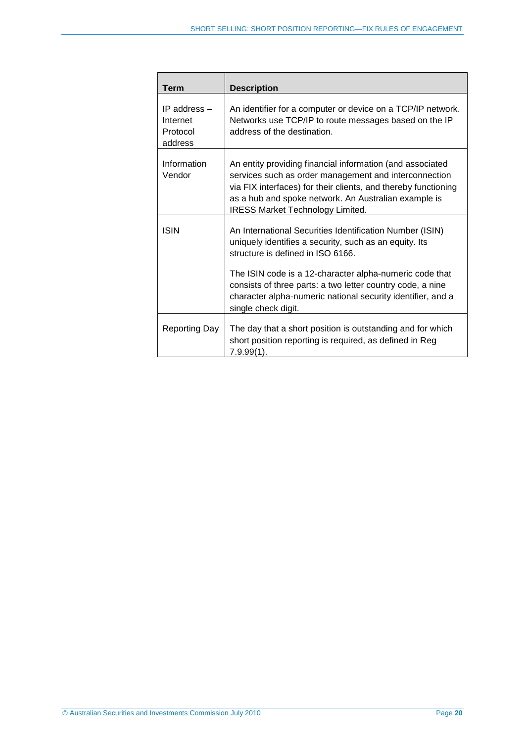| Term                                            | <b>Description</b>                                                                                                                                                                                                                                                                      |
|-------------------------------------------------|-----------------------------------------------------------------------------------------------------------------------------------------------------------------------------------------------------------------------------------------------------------------------------------------|
| IP address -<br>Internet<br>Protocol<br>address | An identifier for a computer or device on a TCP/IP network.<br>Networks use TCP/IP to route messages based on the IP<br>address of the destination.                                                                                                                                     |
| Information<br>Vendor                           | An entity providing financial information (and associated<br>services such as order management and interconnection<br>via FIX interfaces) for their clients, and thereby functioning<br>as a hub and spoke network. An Australian example is<br><b>IRESS Market Technology Limited.</b> |
| <b>ISIN</b>                                     | An International Securities Identification Number (ISIN)<br>uniquely identifies a security, such as an equity. Its<br>structure is defined in ISO 6166.<br>The ISIN code is a 12-character alpha-numeric code that                                                                      |
|                                                 | consists of three parts: a two letter country code, a nine<br>character alpha-numeric national security identifier, and a<br>single check digit.                                                                                                                                        |
| Reporting Day                                   | The day that a short position is outstanding and for which<br>short position reporting is required, as defined in Reg<br>$7.9.99(1)$ .                                                                                                                                                  |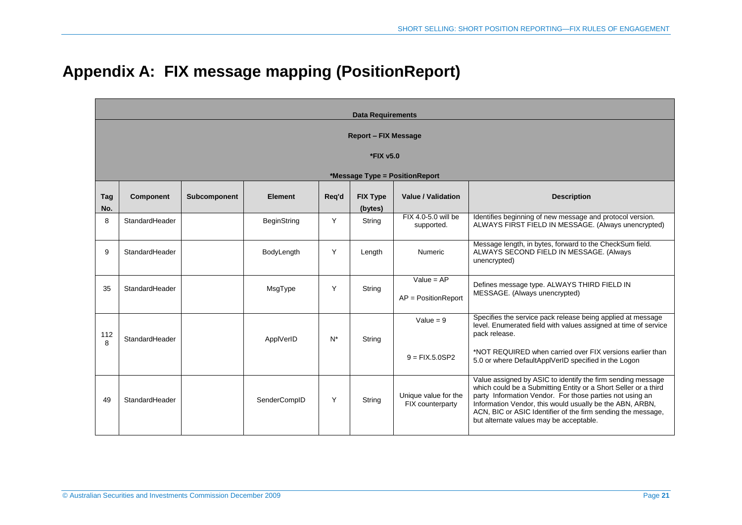|  | Appendix A: FIX message mapping (PositionReport) |
|--|--------------------------------------------------|
|  |                                                  |

<span id="page-20-0"></span>

|            | <b>Data Requirements</b>                 |              |                    |       |                            |                                          |                                                                                                                                                                                                                                                                                                                                                                   |  |  |
|------------|------------------------------------------|--------------|--------------------|-------|----------------------------|------------------------------------------|-------------------------------------------------------------------------------------------------------------------------------------------------------------------------------------------------------------------------------------------------------------------------------------------------------------------------------------------------------------------|--|--|
|            | <b>Report - FIX Message</b><br>*FIX v5.0 |              |                    |       |                            |                                          |                                                                                                                                                                                                                                                                                                                                                                   |  |  |
|            |                                          |              |                    |       |                            | *Message Type = PositionReport           |                                                                                                                                                                                                                                                                                                                                                                   |  |  |
| Tag<br>No. | <b>Component</b>                         | Subcomponent | <b>Element</b>     | Req'd | <b>FIX Type</b><br>(bytes) | <b>Value / Validation</b>                | <b>Description</b>                                                                                                                                                                                                                                                                                                                                                |  |  |
| 8          | StandardHeader                           |              | <b>BeginString</b> | Y     | String                     | FIX 4.0-5.0 will be<br>supported.        | Identifies beginning of new message and protocol version.<br>ALWAYS FIRST FIELD IN MESSAGE. (Always unencrypted)                                                                                                                                                                                                                                                  |  |  |
| 9          | StandardHeader                           |              | BodyLength         | Y     | Length                     | <b>Numeric</b>                           | Message length, in bytes, forward to the CheckSum field.<br>ALWAYS SECOND FIELD IN MESSAGE. (Always<br>unencrypted)                                                                                                                                                                                                                                               |  |  |
| 35         | StandardHeader                           |              | MsgType            | Y     | String                     | Value = $AP$<br>$AP = PositionReport$    | Defines message type. ALWAYS THIRD FIELD IN<br>MESSAGE. (Always unencrypted)                                                                                                                                                                                                                                                                                      |  |  |
| 112<br>8   | StandardHeader                           |              | ApplVerID          | $N^*$ | String                     | Value = $9$                              | Specifies the service pack release being applied at message<br>level. Enumerated field with values assigned at time of service<br>pack release.                                                                                                                                                                                                                   |  |  |
|            |                                          |              |                    |       |                            | $9 = FIX.5.0SP2$                         | *NOT REQUIRED when carried over FIX versions earlier than<br>5.0 or where DefaultApplVerID specified in the Logon                                                                                                                                                                                                                                                 |  |  |
| 49         | StandardHeader                           |              | SenderCompID       | Y     | String                     | Unique value for the<br>FIX counterparty | Value assigned by ASIC to identify the firm sending message<br>which could be a Submitting Entity or a Short Seller or a third<br>party Information Vendor. For those parties not using an<br>Information Vendor, this would usually be the ABN, ARBN,<br>ACN, BIC or ASIC Identifier of the firm sending the message,<br>but alternate values may be acceptable. |  |  |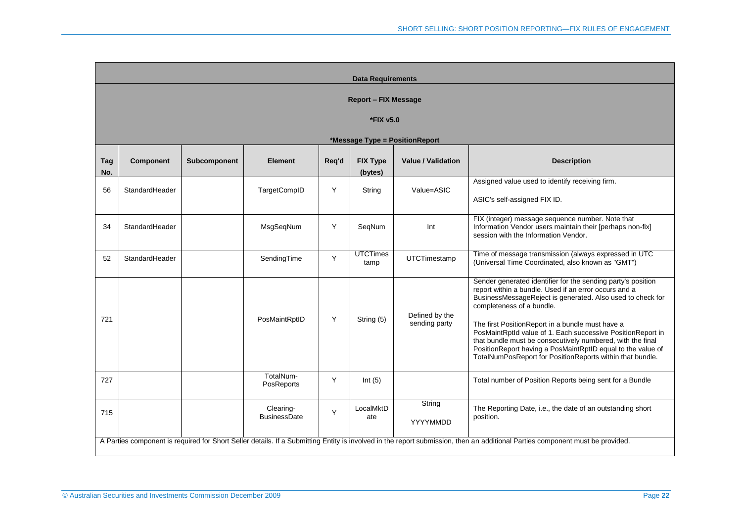|                             | <b>Data Requirements</b>       |                     |                                  |       |                            |                                 |                                                                                                                                                                                                                                                                                                                                                                                                                                                                                                                               |  |  |  |
|-----------------------------|--------------------------------|---------------------|----------------------------------|-------|----------------------------|---------------------------------|-------------------------------------------------------------------------------------------------------------------------------------------------------------------------------------------------------------------------------------------------------------------------------------------------------------------------------------------------------------------------------------------------------------------------------------------------------------------------------------------------------------------------------|--|--|--|
| <b>Report - FIX Message</b> |                                |                     |                                  |       |                            |                                 |                                                                                                                                                                                                                                                                                                                                                                                                                                                                                                                               |  |  |  |
|                             | *FIX v5.0                      |                     |                                  |       |                            |                                 |                                                                                                                                                                                                                                                                                                                                                                                                                                                                                                                               |  |  |  |
|                             | *Message Type = PositionReport |                     |                                  |       |                            |                                 |                                                                                                                                                                                                                                                                                                                                                                                                                                                                                                                               |  |  |  |
| Tag<br>No.                  | <b>Component</b>               | <b>Subcomponent</b> | <b>Element</b>                   | Reg'd | <b>FIX Type</b><br>(bytes) | <b>Value / Validation</b>       | <b>Description</b>                                                                                                                                                                                                                                                                                                                                                                                                                                                                                                            |  |  |  |
| 56                          | StandardHeader                 |                     | TargetCompID                     | Y     | String                     | Value=ASIC                      | Assigned value used to identify receiving firm.<br>ASIC's self-assigned FIX ID.                                                                                                                                                                                                                                                                                                                                                                                                                                               |  |  |  |
| 34                          | StandardHeader                 |                     | MsgSeqNum                        | Y     | SegNum                     | Int                             | FIX (integer) message sequence number. Note that<br>Information Vendor users maintain their [perhaps non-fix]<br>session with the Information Vendor.                                                                                                                                                                                                                                                                                                                                                                         |  |  |  |
| 52                          | StandardHeader                 |                     | SendingTime                      | Y     | <b>UTCTimes</b><br>tamp    | <b>UTCTimestamp</b>             | Time of message transmission (always expressed in UTC<br>(Universal Time Coordinated, also known as "GMT")                                                                                                                                                                                                                                                                                                                                                                                                                    |  |  |  |
| 721                         |                                |                     | PosMaintRptID                    | Y     | String (5)                 | Defined by the<br>sending party | Sender generated identifier for the sending party's position<br>report within a bundle. Used if an error occurs and a<br>BusinessMessageReject is generated. Also used to check for<br>completeness of a bundle.<br>The first PositionReport in a bundle must have a<br>PosMaintRptId value of 1. Each successive PositionReport in<br>that bundle must be consecutively numbered, with the final<br>PositionReport having a PosMaintRptID equal to the value of<br>TotalNumPosReport for PositionReports within that bundle. |  |  |  |
| 727                         |                                |                     | TotalNum-<br>PosReports          | Y     | Int $(5)$                  |                                 | Total number of Position Reports being sent for a Bundle                                                                                                                                                                                                                                                                                                                                                                                                                                                                      |  |  |  |
| 715                         |                                |                     | Clearing-<br><b>BusinessDate</b> | Y     | LocalMktD<br>ate           | String<br>YYYYMMDD              | The Reporting Date, i.e., the date of an outstanding short<br>position.                                                                                                                                                                                                                                                                                                                                                                                                                                                       |  |  |  |
|                             |                                |                     |                                  |       |                            |                                 | A Parties component is required for Short Seller details. If a Submitting Entity is involved in the report submission, then an additional Parties component must be provided.                                                                                                                                                                                                                                                                                                                                                 |  |  |  |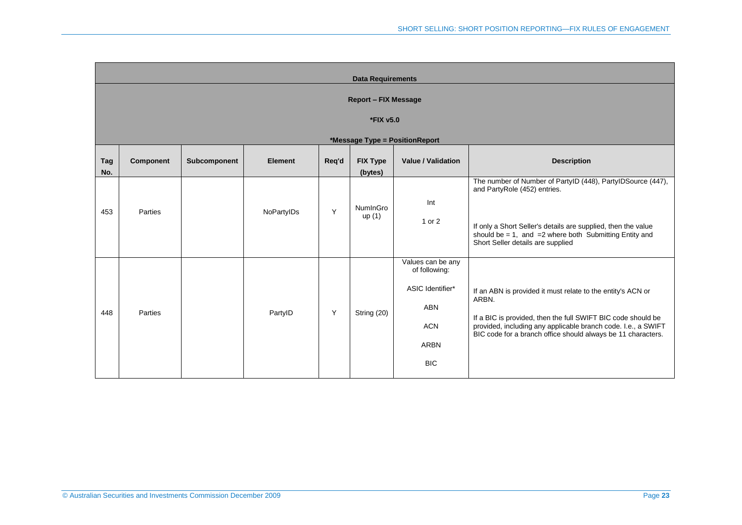| <b>Data Requirements</b>       |                  |              |                |       |                            |                                                                                                          |                                                                                                                                                                                                                                                                       |  |  |  |
|--------------------------------|------------------|--------------|----------------|-------|----------------------------|----------------------------------------------------------------------------------------------------------|-----------------------------------------------------------------------------------------------------------------------------------------------------------------------------------------------------------------------------------------------------------------------|--|--|--|
| <b>Report - FIX Message</b>    |                  |              |                |       |                            |                                                                                                          |                                                                                                                                                                                                                                                                       |  |  |  |
| *FIX v5.0                      |                  |              |                |       |                            |                                                                                                          |                                                                                                                                                                                                                                                                       |  |  |  |
| *Message Type = PositionReport |                  |              |                |       |                            |                                                                                                          |                                                                                                                                                                                                                                                                       |  |  |  |
| Tag<br>No.                     | <b>Component</b> | Subcomponent | <b>Element</b> | Req'd | <b>FIX Type</b><br>(bytes) | <b>Value / Validation</b>                                                                                | <b>Description</b>                                                                                                                                                                                                                                                    |  |  |  |
| 453                            | Parties          |              | NoPartyIDs     | Y     | NumInGro<br>up(1)          | Int<br>1 or 2                                                                                            | The number of Number of PartyID (448), PartyIDSource (447),<br>and PartyRole (452) entries.<br>If only a Short Seller's details are supplied, then the value<br>should be = 1, and = 2 where both Submitting Entity and<br>Short Seller details are supplied          |  |  |  |
| 448                            | Parties          |              | PartyID        | Y     | String (20)                | Values can be any<br>of following:<br>ASIC Identifier*<br>ABN<br><b>ACN</b><br><b>ARBN</b><br><b>BIC</b> | If an ABN is provided it must relate to the entity's ACN or<br>ARBN.<br>If a BIC is provided, then the full SWIFT BIC code should be<br>provided, including any applicable branch code. I.e., a SWIFT<br>BIC code for a branch office should always be 11 characters. |  |  |  |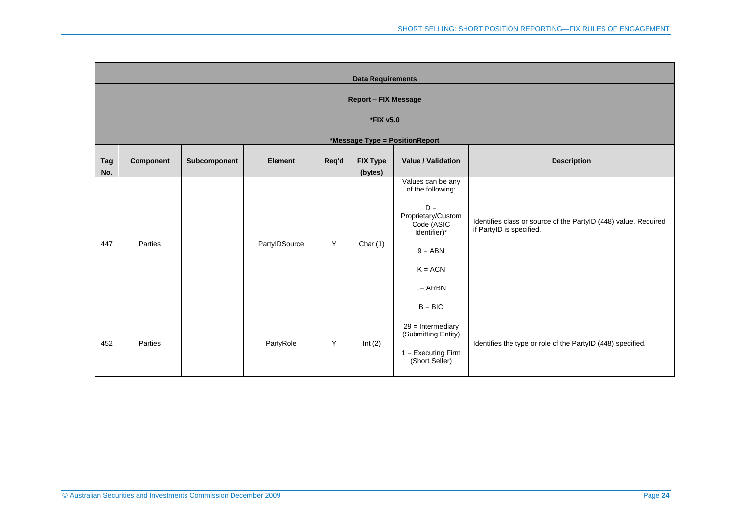|                   | <b>Data Requirements</b>       |              |                |       |                            |                                                                                                                                                       |                                                                                             |  |  |  |  |
|-------------------|--------------------------------|--------------|----------------|-------|----------------------------|-------------------------------------------------------------------------------------------------------------------------------------------------------|---------------------------------------------------------------------------------------------|--|--|--|--|
|                   | <b>Report - FIX Message</b>    |              |                |       |                            |                                                                                                                                                       |                                                                                             |  |  |  |  |
|                   | *FIX v5.0                      |              |                |       |                            |                                                                                                                                                       |                                                                                             |  |  |  |  |
|                   | *Message Type = PositionReport |              |                |       |                            |                                                                                                                                                       |                                                                                             |  |  |  |  |
| <b>Tag</b><br>No. | Component                      | Subcomponent | <b>Element</b> | Req'd | <b>FIX Type</b><br>(bytes) | <b>Value / Validation</b>                                                                                                                             | <b>Description</b>                                                                          |  |  |  |  |
| 447               | Parties                        |              | PartyIDSource  | Y     | Char $(1)$                 | Values can be any<br>of the following:<br>$D =$<br>Proprietary/Custom<br>Code (ASIC<br>Identifier)*<br>$9 = ABN$<br>$K = ACN$<br>L= ARBN<br>$B = BIC$ | Identifies class or source of the PartyID (448) value. Required<br>if PartyID is specified. |  |  |  |  |
| 452               | Parties                        |              | PartyRole      | Y     | Int $(2)$                  | $29 =$ Intermediary<br>(Submitting Entity)<br>$1 =$ Executing Firm<br>(Short Seller)                                                                  | Identifies the type or role of the PartyID (448) specified.                                 |  |  |  |  |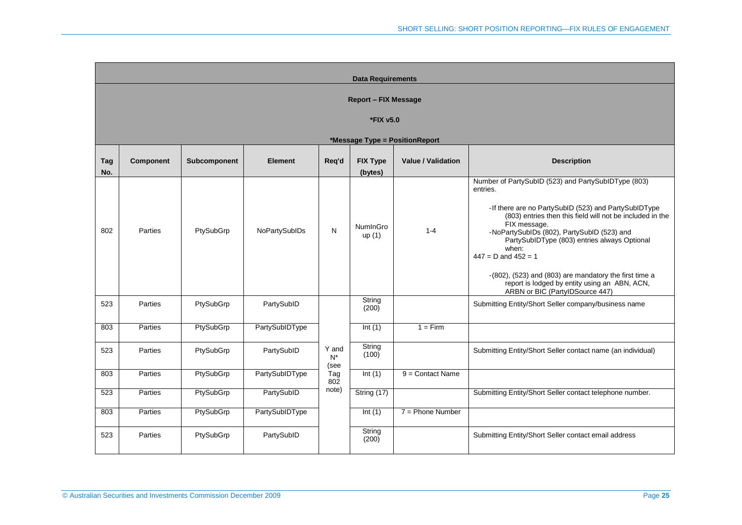|            | <b>Data Requirements</b>       |              |                |                        |                            |                           |                                                                                                                                                                                                                                                                                                                                                                                                                                                                                             |  |  |  |  |  |
|------------|--------------------------------|--------------|----------------|------------------------|----------------------------|---------------------------|---------------------------------------------------------------------------------------------------------------------------------------------------------------------------------------------------------------------------------------------------------------------------------------------------------------------------------------------------------------------------------------------------------------------------------------------------------------------------------------------|--|--|--|--|--|
|            | <b>Report - FIX Message</b>    |              |                |                        |                            |                           |                                                                                                                                                                                                                                                                                                                                                                                                                                                                                             |  |  |  |  |  |
|            | *FIX v5.0                      |              |                |                        |                            |                           |                                                                                                                                                                                                                                                                                                                                                                                                                                                                                             |  |  |  |  |  |
|            | *Message Type = PositionReport |              |                |                        |                            |                           |                                                                                                                                                                                                                                                                                                                                                                                                                                                                                             |  |  |  |  |  |
| Tag<br>No. | <b>Component</b>               | Subcomponent | <b>Element</b> | Req'd                  | <b>FIX Type</b><br>(bytes) | <b>Value / Validation</b> | <b>Description</b>                                                                                                                                                                                                                                                                                                                                                                                                                                                                          |  |  |  |  |  |
| 802        | Parties                        | PtySubGrp    | NoPartySubIDs  | N                      | NumInGro<br>up(1)          | $1 - 4$                   | Number of PartySubID (523) and PartySubIDType (803)<br>entries.<br>-If there are no PartySubID (523) and PartySubIDType<br>(803) entries then this field will not be included in the<br>FIX message.<br>-NoPartySubIDs (802), PartySubID (523) and<br>PartySubIDType (803) entries always Optional<br>when:<br>$447 = D$ and $452 = 1$<br>$-(802)$ , $(523)$ and $(803)$ are mandatory the first time a<br>report is lodged by entity using an ABN, ACN,<br>ARBN or BIC (PartylDSource 447) |  |  |  |  |  |
| 523        | Parties                        | PtySubGrp    | PartySubID     |                        | String<br>(200)            |                           | Submitting Entity/Short Seller company/business name                                                                                                                                                                                                                                                                                                                                                                                                                                        |  |  |  |  |  |
| 803        | Parties                        | PtySubGrp    | PartySubIDType |                        | Int(1)                     | $1 = Firm$                |                                                                                                                                                                                                                                                                                                                                                                                                                                                                                             |  |  |  |  |  |
| 523        | Parties                        | PtySubGrp    | PartySubID     | Y and<br>$N^*$<br>(see | String<br>(100)            |                           | Submitting Entity/Short Seller contact name (an individual)                                                                                                                                                                                                                                                                                                                                                                                                                                 |  |  |  |  |  |
| 803        | Parties                        | PtySubGrp    | PartySubIDType | Tag<br>802             | Int(1)                     | $9 =$ Contact Name        |                                                                                                                                                                                                                                                                                                                                                                                                                                                                                             |  |  |  |  |  |
| 523        | Parties                        | PtySubGrp    | PartySubID     | note)                  | String (17)                |                           | Submitting Entity/Short Seller contact telephone number.                                                                                                                                                                                                                                                                                                                                                                                                                                    |  |  |  |  |  |
| 803        | Parties                        | PtySubGrp    | PartySubIDType |                        | Int $(1)$                  | $7 =$ Phone Number        |                                                                                                                                                                                                                                                                                                                                                                                                                                                                                             |  |  |  |  |  |
| 523        | <b>Parties</b>                 | PtySubGrp    | PartySubID     |                        | String<br>(200)            |                           | Submitting Entity/Short Seller contact email address                                                                                                                                                                                                                                                                                                                                                                                                                                        |  |  |  |  |  |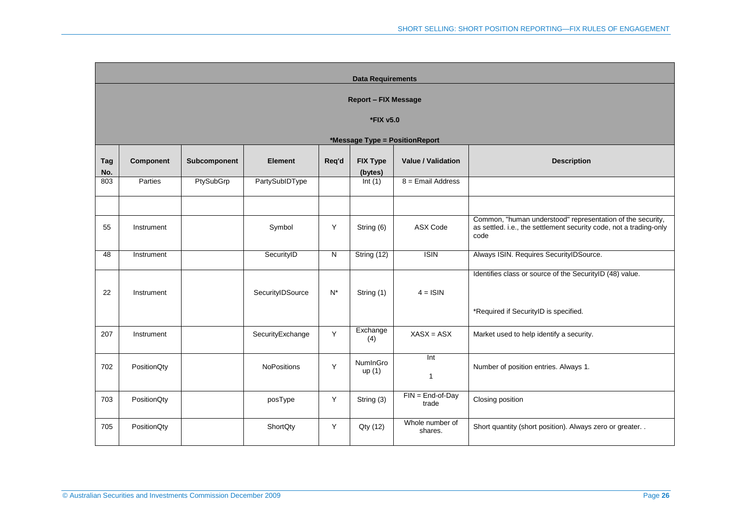|            | <b>Data Requirements</b>       |              |                    |       |                   |                             |                                                                                                                                          |  |  |  |  |  |
|------------|--------------------------------|--------------|--------------------|-------|-------------------|-----------------------------|------------------------------------------------------------------------------------------------------------------------------------------|--|--|--|--|--|
|            | <b>Report - FIX Message</b>    |              |                    |       |                   |                             |                                                                                                                                          |  |  |  |  |  |
|            | *FIX v5.0                      |              |                    |       |                   |                             |                                                                                                                                          |  |  |  |  |  |
|            | *Message Type = PositionReport |              |                    |       |                   |                             |                                                                                                                                          |  |  |  |  |  |
|            |                                |              |                    |       |                   |                             |                                                                                                                                          |  |  |  |  |  |
| Tag        | <b>Component</b>               | Subcomponent | <b>Element</b>     | Req'd | <b>FIX Type</b>   | <b>Value / Validation</b>   | <b>Description</b>                                                                                                                       |  |  |  |  |  |
| No.<br>803 | Parties                        | PtySubGrp    | PartySubIDType     |       | (bytes)<br>Int(1) | $8 =$ Email Address         |                                                                                                                                          |  |  |  |  |  |
|            |                                |              |                    |       |                   |                             |                                                                                                                                          |  |  |  |  |  |
| 55         | Instrument                     |              | Symbol             | Y     | String (6)        | <b>ASX Code</b>             | Common, "human understood" representation of the security,<br>as settled. i.e., the settlement security code, not a trading-only<br>code |  |  |  |  |  |
| 48         | Instrument                     |              | SecurityID         | N     | String (12)       | $\overline{ISIN}$           | Always ISIN. Requires SecurityIDSource.                                                                                                  |  |  |  |  |  |
| 22         | Instrument                     |              | SecurityIDSource   | $N^*$ | String (1)        | $4 =$ ISIN                  | Identifies class or source of the SecurityID (48) value.<br>*Required if SecurityID is specified.                                        |  |  |  |  |  |
|            |                                |              |                    |       | Exchange          |                             |                                                                                                                                          |  |  |  |  |  |
| 207        | Instrument                     |              | SecurityExchange   | Y     | (4)               | $XASX = ASX$                | Market used to help identify a security.                                                                                                 |  |  |  |  |  |
| 702        | PositionQty                    |              | <b>NoPositions</b> | Y     | NumInGro<br>up(1) | Int<br>$\mathbf{1}$         | Number of position entries. Always 1.                                                                                                    |  |  |  |  |  |
| 703        | PositionQty                    |              | posType            | Y     | String (3)        | $FIN = End-of-Day$<br>trade | Closing position                                                                                                                         |  |  |  |  |  |
| 705        | PositionQty                    |              | ShortQty           | Y     | Qty (12)          | Whole number of<br>shares.  | Short quantity (short position). Always zero or greater                                                                                  |  |  |  |  |  |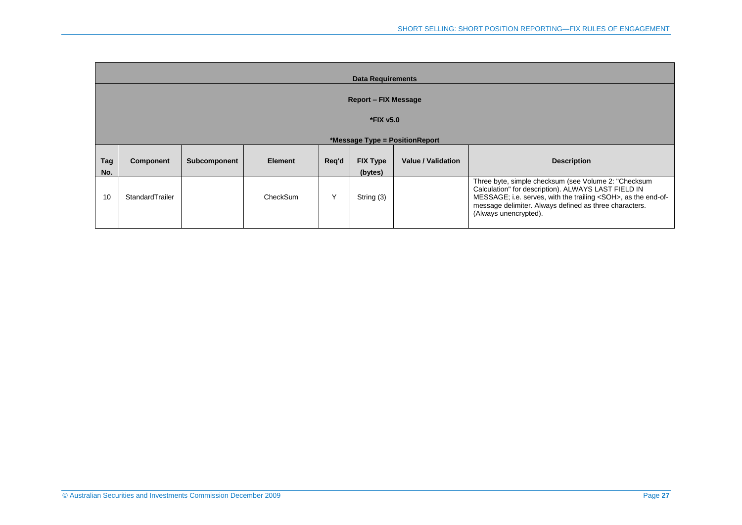|                             | <b>Data Requirements</b> |              |                |       |                            |                                |                                                                                                                                                                                                                                                                         |  |  |  |
|-----------------------------|--------------------------|--------------|----------------|-------|----------------------------|--------------------------------|-------------------------------------------------------------------------------------------------------------------------------------------------------------------------------------------------------------------------------------------------------------------------|--|--|--|
| <b>Report – FIX Message</b> |                          |              |                |       |                            |                                |                                                                                                                                                                                                                                                                         |  |  |  |
|                             | *FIX v5.0                |              |                |       |                            |                                |                                                                                                                                                                                                                                                                         |  |  |  |
|                             |                          |              |                |       |                            | *Message Type = PositionReport |                                                                                                                                                                                                                                                                         |  |  |  |
| Tag<br>No.                  | <b>Component</b>         | Subcomponent | <b>Element</b> | Reg'd | <b>FIX Type</b><br>(bytes) | <b>Value / Validation</b>      | <b>Description</b>                                                                                                                                                                                                                                                      |  |  |  |
| 10                          | StandardTrailer          |              | CheckSum       |       | String (3)                 |                                | Three byte, simple checksum (see Volume 2: "Checksum<br>Calculation" for description). ALWAYS LAST FIELD IN<br>MESSAGE; i.e. serves, with the trailing <soh>, as the end-of-<br/>message delimiter. Always defined as three characters.<br/>(Always unencrypted).</soh> |  |  |  |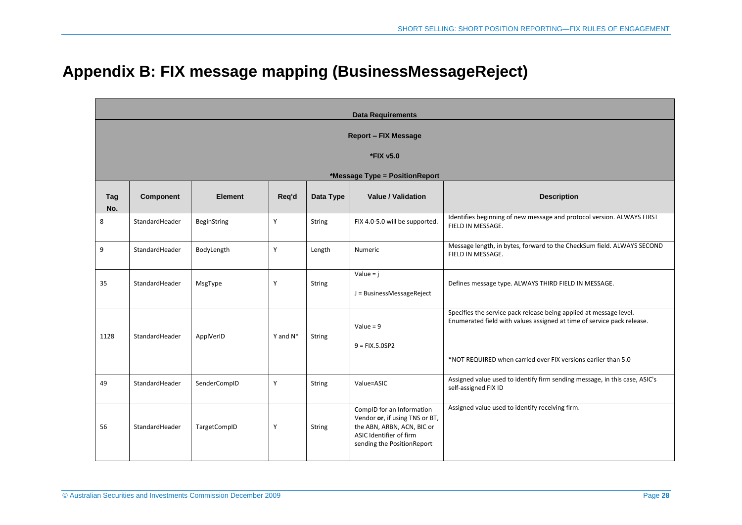## **Appendix B: FIX message mapping (BusinessMessageReject)**

<span id="page-27-0"></span>

|                                | <b>Data Requirements</b>    |                    |             |               |                                                                                                                                                    |                                                                                                                                                                                                               |  |  |  |  |  |  |
|--------------------------------|-----------------------------|--------------------|-------------|---------------|----------------------------------------------------------------------------------------------------------------------------------------------------|---------------------------------------------------------------------------------------------------------------------------------------------------------------------------------------------------------------|--|--|--|--|--|--|
|                                | <b>Report - FIX Message</b> |                    |             |               |                                                                                                                                                    |                                                                                                                                                                                                               |  |  |  |  |  |  |
|                                | *FIX v5.0                   |                    |             |               |                                                                                                                                                    |                                                                                                                                                                                                               |  |  |  |  |  |  |
| *Message Type = PositionReport |                             |                    |             |               |                                                                                                                                                    |                                                                                                                                                                                                               |  |  |  |  |  |  |
| Tag<br>No.                     | Component                   | <b>Element</b>     | Req'd       | Data Type     | <b>Value / Validation</b>                                                                                                                          | <b>Description</b>                                                                                                                                                                                            |  |  |  |  |  |  |
| 8                              | StandardHeader              | <b>BeginString</b> | Y           | <b>String</b> | FIX 4.0-5.0 will be supported.                                                                                                                     | Identifies beginning of new message and protocol version. ALWAYS FIRST<br>FIELD IN MESSAGE.                                                                                                                   |  |  |  |  |  |  |
| 9                              | StandardHeader              | BodyLength         | Y           | Length        | Numeric                                                                                                                                            | Message length, in bytes, forward to the CheckSum field. ALWAYS SECOND<br>FIELD IN MESSAGE.                                                                                                                   |  |  |  |  |  |  |
| 35                             | StandardHeader              | MsgType            | Y           | <b>String</b> | Value = $j$<br>J = BusinessMessageReject                                                                                                           | Defines message type. ALWAYS THIRD FIELD IN MESSAGE.                                                                                                                                                          |  |  |  |  |  |  |
| 1128                           | StandardHeader              | ApplVerID          | Y and $N^*$ | <b>String</b> | Value = $9$<br>$9 = FIX.5.0SP2$                                                                                                                    | Specifies the service pack release being applied at message level.<br>Enumerated field with values assigned at time of service pack release.<br>*NOT REQUIRED when carried over FIX versions earlier than 5.0 |  |  |  |  |  |  |
| 49                             | StandardHeader              | SenderCompID       | Y           | <b>String</b> | Value=ASIC                                                                                                                                         | Assigned value used to identify firm sending message, in this case, ASIC's<br>self-assigned FIX ID                                                                                                            |  |  |  |  |  |  |
| 56                             | StandardHeader              | TargetCompID       | Y           | <b>String</b> | CompID for an Information<br>Vendor or, if using TNS or BT,<br>the ABN, ARBN, ACN, BIC or<br>ASIC Identifier of firm<br>sending the PositionReport | Assigned value used to identify receiving firm.                                                                                                                                                               |  |  |  |  |  |  |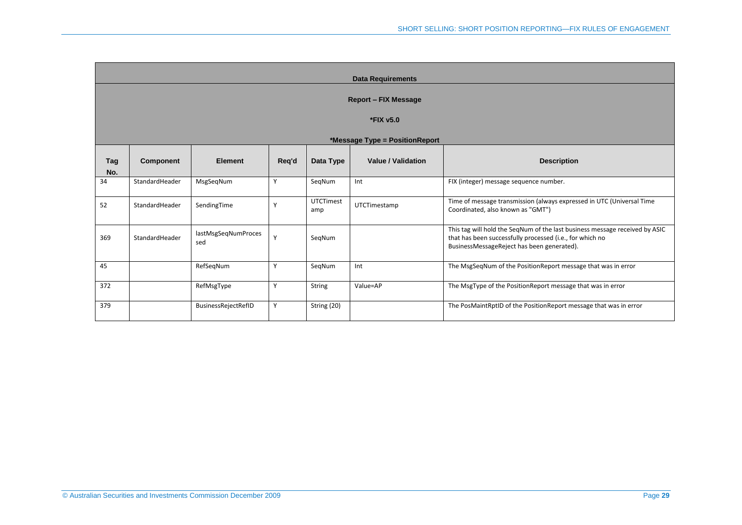|            | <b>Data Requirements</b>       |                            |       |                         |                           |                                                                                                                                                                                       |  |  |  |  |  |
|------------|--------------------------------|----------------------------|-------|-------------------------|---------------------------|---------------------------------------------------------------------------------------------------------------------------------------------------------------------------------------|--|--|--|--|--|
|            | <b>Report - FIX Message</b>    |                            |       |                         |                           |                                                                                                                                                                                       |  |  |  |  |  |
|            |                                |                            |       |                         |                           |                                                                                                                                                                                       |  |  |  |  |  |
|            | *FIX v5.0                      |                            |       |                         |                           |                                                                                                                                                                                       |  |  |  |  |  |
|            | *Message Type = PositionReport |                            |       |                         |                           |                                                                                                                                                                                       |  |  |  |  |  |
|            |                                |                            |       |                         |                           |                                                                                                                                                                                       |  |  |  |  |  |
| Tag<br>No. | <b>Component</b>               | <b>Element</b>             | Req'd | Data Type               | <b>Value / Validation</b> | <b>Description</b>                                                                                                                                                                    |  |  |  |  |  |
| 34         | StandardHeader                 | MsgSeqNum                  | Y     | SegNum                  | Int                       | FIX (integer) message sequence number.                                                                                                                                                |  |  |  |  |  |
| 52         | StandardHeader                 | SendingTime                | Y     | <b>UTCTimest</b><br>amp | UTCTimestamp              | Time of message transmission (always expressed in UTC (Universal Time<br>Coordinated, also known as "GMT")                                                                            |  |  |  |  |  |
| 369        | StandardHeader                 | lastMsgSeqNumProces<br>sed | Y     | SegNum                  |                           | This tag will hold the SeqNum of the last business message received by ASIC<br>that has been successfully processed (i.e., for which no<br>BusinessMessageReject has been generated). |  |  |  |  |  |
| 45         |                                | RefSeqNum                  | Y     | SegNum                  | Int                       | The MsgSeqNum of the PositionReport message that was in error                                                                                                                         |  |  |  |  |  |
| 372        |                                | RefMsgType                 | Y     | <b>String</b>           | Value=AP                  | The MsgType of the PositionReport message that was in error                                                                                                                           |  |  |  |  |  |
| 379        |                                | BusinessRejectRefID        | Y     | String (20)             |                           | The PosMaintRptID of the PositionReport message that was in error                                                                                                                     |  |  |  |  |  |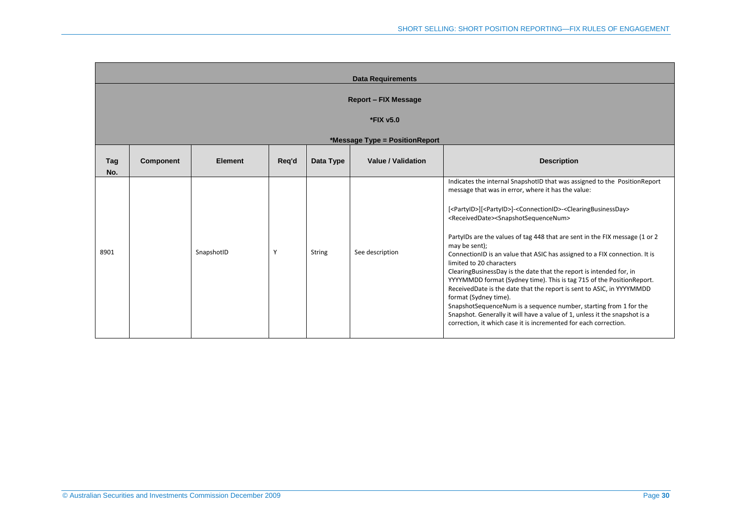|            | <b>Data Requirements</b>    |                |       |               |                                |                                                                                                                                                                                                                                                                                                                                                                                                                                                                                                                                                                                                                                                                                                                                                                                                                                                                                                                                                                                                                                     |  |  |  |  |  |
|------------|-----------------------------|----------------|-------|---------------|--------------------------------|-------------------------------------------------------------------------------------------------------------------------------------------------------------------------------------------------------------------------------------------------------------------------------------------------------------------------------------------------------------------------------------------------------------------------------------------------------------------------------------------------------------------------------------------------------------------------------------------------------------------------------------------------------------------------------------------------------------------------------------------------------------------------------------------------------------------------------------------------------------------------------------------------------------------------------------------------------------------------------------------------------------------------------------|--|--|--|--|--|
|            | <b>Report - FIX Message</b> |                |       |               |                                |                                                                                                                                                                                                                                                                                                                                                                                                                                                                                                                                                                                                                                                                                                                                                                                                                                                                                                                                                                                                                                     |  |  |  |  |  |
|            | *FIX v5.0                   |                |       |               |                                |                                                                                                                                                                                                                                                                                                                                                                                                                                                                                                                                                                                                                                                                                                                                                                                                                                                                                                                                                                                                                                     |  |  |  |  |  |
|            |                             |                |       |               | *Message Type = PositionReport |                                                                                                                                                                                                                                                                                                                                                                                                                                                                                                                                                                                                                                                                                                                                                                                                                                                                                                                                                                                                                                     |  |  |  |  |  |
| Tag<br>No. | <b>Component</b>            | <b>Element</b> | Req'd | Data Type     | <b>Value / Validation</b>      | <b>Description</b>                                                                                                                                                                                                                                                                                                                                                                                                                                                                                                                                                                                                                                                                                                                                                                                                                                                                                                                                                                                                                  |  |  |  |  |  |
| 8901       |                             | SnapshotID     | Y     | <b>String</b> | See description                | Indicates the internal SnapshotID that was assigned to the PositionReport<br>message that was in error, where it has the value:<br>[ <partyid>][<partyid>]-<connectionid>-<clearingbusinessday><br/><receiveddate><snapshotsequencenum><br/>PartyIDs are the values of tag 448 that are sent in the FIX message (1 or 2<br/>may be sent);<br/>ConnectionID is an value that ASIC has assigned to a FIX connection. It is<br/>limited to 20 characters<br/>ClearingBusinessDay is the date that the report is intended for, in<br/>YYYYMMDD format (Sydney time). This is tag 715 of the PositionReport.<br/>ReceivedDate is the date that the report is sent to ASIC, in YYYYMMDD<br/>format (Sydney time).<br/>SnapshotSequenceNum is a sequence number, starting from 1 for the<br/>Snapshot. Generally it will have a value of 1, unless it the snapshot is a<br/>correction, it which case it is incremented for each correction.</snapshotsequencenum></receiveddate></clearingbusinessday></connectionid></partyid></partyid> |  |  |  |  |  |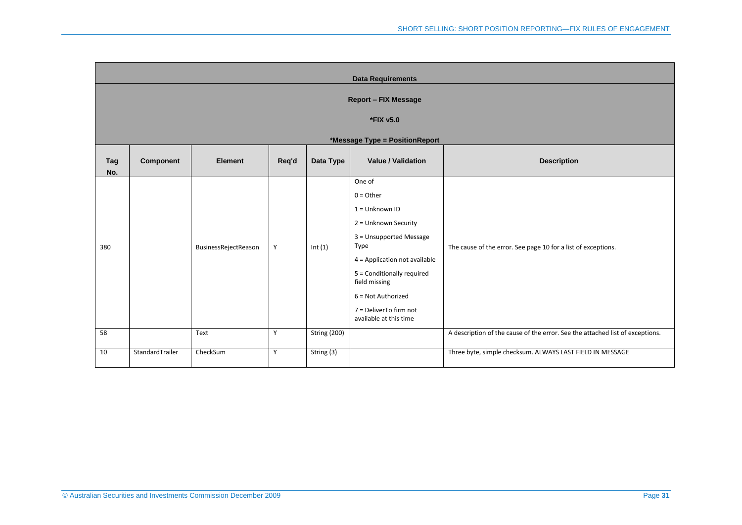|            | <b>Data Requirements</b>       |                      |       |                     |                                                                                                                                                                                                                                                                |                                                                               |  |  |  |  |  |
|------------|--------------------------------|----------------------|-------|---------------------|----------------------------------------------------------------------------------------------------------------------------------------------------------------------------------------------------------------------------------------------------------------|-------------------------------------------------------------------------------|--|--|--|--|--|
|            | <b>Report - FIX Message</b>    |                      |       |                     |                                                                                                                                                                                                                                                                |                                                                               |  |  |  |  |  |
|            | *FIX v5.0                      |                      |       |                     |                                                                                                                                                                                                                                                                |                                                                               |  |  |  |  |  |
|            | *Message Type = PositionReport |                      |       |                     |                                                                                                                                                                                                                                                                |                                                                               |  |  |  |  |  |
| Tag<br>No. | Component                      | <b>Element</b>       | Req'd | Data Type           | <b>Value / Validation</b>                                                                                                                                                                                                                                      | <b>Description</b>                                                            |  |  |  |  |  |
| 380        |                                | BusinessRejectReason | Y     | Int(1)              | One of<br>$0 =$ Other<br>$1 =$ Unknown ID<br>2 = Unknown Security<br>3 = Unsupported Message<br>Type<br>4 = Application not available<br>5 = Conditionally required<br>field missing<br>6 = Not Authorized<br>7 = DeliverTo firm not<br>available at this time | The cause of the error. See page 10 for a list of exceptions.                 |  |  |  |  |  |
| 58         |                                | Text                 | Y     | <b>String (200)</b> |                                                                                                                                                                                                                                                                | A description of the cause of the error. See the attached list of exceptions. |  |  |  |  |  |
| 10         | StandardTrailer                | CheckSum             | Y     | String (3)          |                                                                                                                                                                                                                                                                | Three byte, simple checksum. ALWAYS LAST FIELD IN MESSAGE                     |  |  |  |  |  |